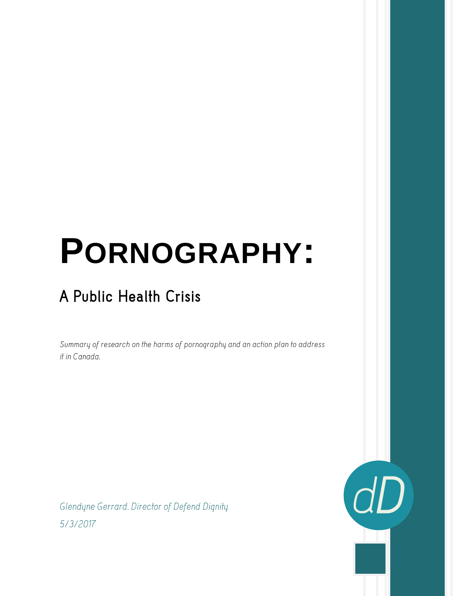# **PORNOGRAPHY:**

# A Public Health Crisis

Summary of research on the harms of pornography and an action plan to address it in Canada.

Glendyne Gerrard. Director of Defend Dignity 5/3/2017

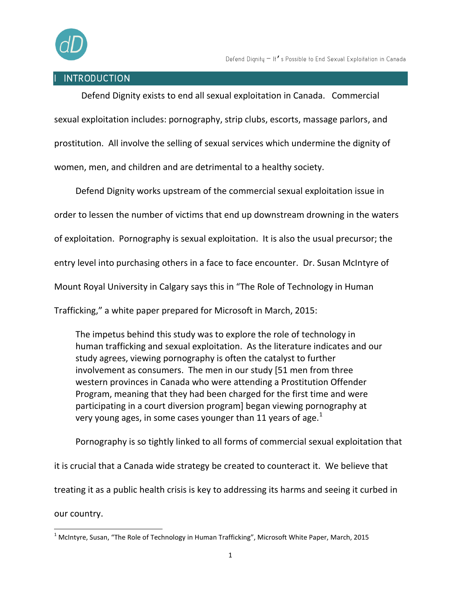

#### **INTRODUCTION**

Defend Dignity exists to end all sexual exploitation in Canada. Commercial sexual exploitation includes: pornography, strip clubs, escorts, massage parlors, and prostitution. All involve the selling of sexual services which undermine the dignity of women, men, and children and are detrimental to a healthy society.

Defend Dignity works upstream of the commercial sexual exploitation issue in order to lessen the number of victims that end up downstream drowning in the waters of exploitation. Pornography is sexual exploitation. It is also the usual precursor; the entry level into purchasing others in a face to face encounter. Dr. Susan McIntyre of Mount Royal University in Calgary says this in "The Role of Technology in Human Trafficking," a white paper prepared for Microsoft in March, 2015:

The impetus behind this study was to explore the role of technology in human trafficking and sexual exploitation. As the literature indicates and our study agrees, viewing pornography is often the catalyst to further involvement as consumers. The men in our study [51 men from three western provinces in Canada who were attending a Prostitution Offender Program, meaning that they had been charged for the first time and were participating in a court diversion program] began viewing pornography at very young ages, in some cases younger than 11 years of age. $<sup>1</sup>$ </sup>

Pornography is so tightly linked to all forms of commercial sexual exploitation that it is crucial that a Canada wide strategy be created to counteract it. We believe that treating it as a public health crisis is key to addressing its harms and seeing it curbed in our country.

<sup>&</sup>lt;sup>1</sup> McIntyre, Susan, "The Role of Technology in Human Trafficking", Microsoft White Paper, March, 2015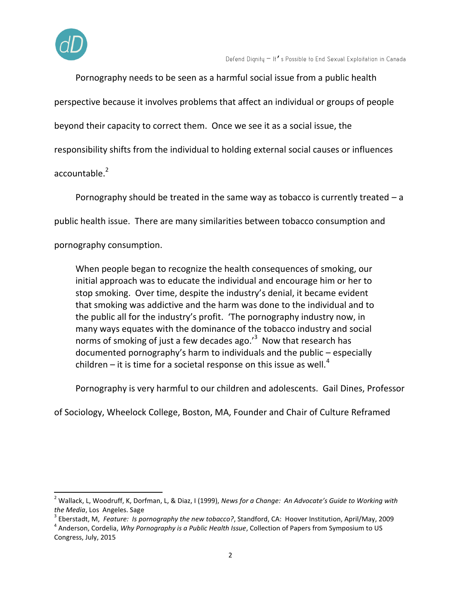

Pornography needs to be seen as a harmful social issue from a public health perspective because it involves problems that affect an individual or groups of people beyond their capacity to correct them. Once we see it as a social issue, the responsibility shifts from the individual to holding external social causes or influences accountable.<sup>2</sup>

Pornography should be treated in the same way as tobacco is currently treated – a public health issue. There are many similarities between tobacco consumption and pornography consumption.

When people began to recognize the health consequences of smoking, our initial approach was to educate the individual and encourage him or her to stop smoking. Over time, despite the industry's denial, it became evident that smoking was addictive and the harm was done to the individual and to the public all for the industry's profit. 'The pornography industry now, in many ways equates with the dominance of the tobacco industry and social norms of smoking of just a few decades ago.<sup>'3</sup> Now that research has documented pornography's harm to individuals and the public – especially children – it is time for a societal response on this issue as well.<sup>4</sup>

Pornography is very harmful to our children and adolescents. Gail Dines, Professor

of Sociology, Wheelock College, Boston, MA, Founder and Chair of Culture Reframed

<sup>2</sup> Wallack, L, Woodruff, K, Dorfman, L, & Diaz, I (1999), *News for a Change: An Advocate's Guide to Working with the Media*, Los Angeles. Sage

<sup>3</sup> Eberstadt, M, *Feature: Is pornography the new tobacco?*, Standford, CA: Hoover Institution, April/May, 2009

<sup>4</sup> Anderson, Cordelia, *Why Pornography is a Public Health Issue*, Collection of Papers from Symposium to US Congress, July, 2015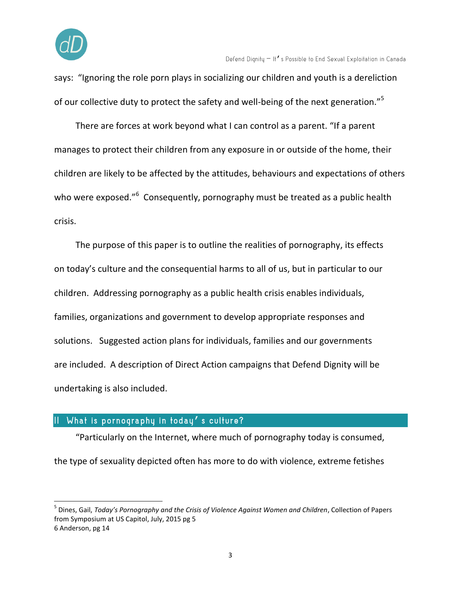

says: "Ignoring the role porn plays in socializing our children and youth is a dereliction of our collective duty to protect the safety and well-being of the next generation."<sup>5</sup>

There are forces at work beyond what I can control as a parent. "If a parent manages to protect their children from any exposure in or outside of the home, their children are likely to be affected by the attitudes, behaviours and expectations of others who were exposed."<sup>6</sup> Consequently, pornography must be treated as a public health crisis.

The purpose of this paper is to outline the realities of pornography, its effects on today's culture and the consequential harms to all of us, but in particular to our children. Addressing pornography as a public health crisis enables individuals, families, organizations and government to develop appropriate responses and solutions. Suggested action plans for individuals, families and our governments are included. A description of Direct Action campaigns that Defend Dignity will be undertaking is also included.

## What is pornography in today's culture?

"Particularly on the Internet, where much of pornography today is consumed, the type of sexuality depicted often has more to do with violence, extreme fetishes

<sup>5</sup> Dines, Gail, *Today's Pornography and the Crisis of Violence Against Women and Children*, Collection of Papers from Symposium at US Capitol, July, 2015 pg 5 6 Anderson, pg 14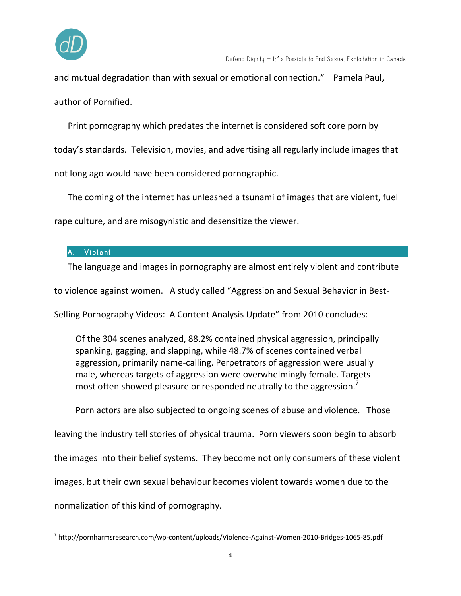

and mutual degradation than with sexual or emotional connection." Pamela Paul, author of Pornified.

Print pornography which predates the internet is considered soft core porn by today's standards. Television, movies, and advertising all regularly include images that not long ago would have been considered pornographic.

The coming of the internet has unleashed a tsunami of images that are violent, fuel rape culture, and are misogynistic and desensitize the viewer.

## A. Violent

The language and images in pornography are almost entirely violent and contribute

to violence against women. A study called "Aggression and Sexual Behavior in Best-

Selling Pornography Videos: A Content Analysis Update" from 2010 concludes:

Of the 304 scenes analyzed, 88.2% contained physical aggression, principally spanking, gagging, and slapping, while 48.7% of scenes contained verbal aggression, primarily name-calling. Perpetrators of aggression were usually male, whereas targets of aggression were overwhelmingly female. Targets most often showed pleasure or responded neutrally to the aggression.<sup>7</sup>

Porn actors are also subjected to ongoing scenes of abuse and violence. Those

leaving the industry tell stories of physical trauma. Porn viewers soon begin to absorb the images into their belief systems. They become not only consumers of these violent images, but their own sexual behaviour becomes violent towards women due to the normalization of this kind of pornography.

 7 http://pornharmsresearch.com/wp-content/uploads/Violence-Against-Women-2010-Bridges-1065-85.pdf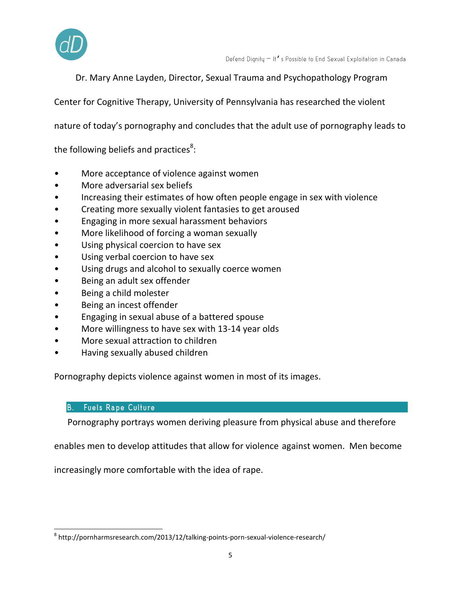

Dr. Mary Anne Layden, Director, Sexual Trauma and Psychopathology Program

Center for Cognitive Therapy, University of Pennsylvania has researched the violent

nature of today's pornography and concludes that the adult use of pornography leads to

the following beliefs and practices<sup>8</sup>:

- More acceptance of violence against women
- More adversarial sex beliefs
- Increasing their estimates of how often people engage in sex with violence
- Creating more sexually violent fantasies to get aroused
- Engaging in more sexual harassment behaviors
- More likelihood of forcing a woman sexually
- Using physical coercion to have sex
- Using verbal coercion to have sex
- Using drugs and alcohol to sexually coerce women
- Being an adult sex offender
- Being a child molester
- Being an incest offender
- Engaging in sexual abuse of a battered spouse
- More willingness to have sex with 13-14 year olds
- More sexual attraction to children
- Having sexually abused children

Pornography depicts violence against women in most of its images.

#### **B.** Fuels Rape Culture

Pornography portrays women deriving pleasure from physical abuse and therefore

enables men to develop attitudes that allow for violence against women. Men become

increasingly more comfortable with the idea of rape.

 $\overline{a}$ <sup>8</sup> http://pornharmsresearch.com/2013/12/talking-points-porn-sexual-violence-research/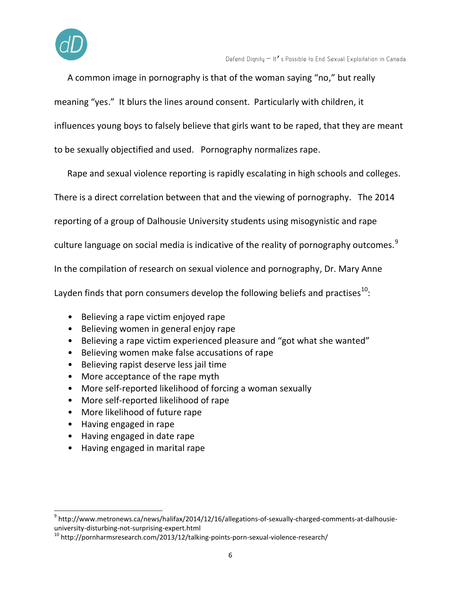

A common image in pornography is that of the woman saying "no," but really meaning "yes." It blurs the lines around consent. Particularly with children, it

influences young boys to falsely believe that girls want to be raped, that they are meant

to be sexually objectified and used. Pornography normalizes rape.

Rape and sexual violence reporting is rapidly escalating in high schools and colleges.

There is a direct correlation between that and the viewing of pornography. The 2014

reporting of a group of Dalhousie University students using misogynistic and rape

culture language on social media is indicative of the reality of pornography outcomes.<sup>9</sup>

In the compilation of research on sexual violence and pornography, Dr. Mary Anne

Layden finds that porn consumers develop the following beliefs and practises<sup>10</sup>:

- Believing a rape victim enjoyed rape
- Believing women in general enjoy rape
- Believing a rape victim experienced pleasure and "got what she wanted"
- Believing women make false accusations of rape
- Believing rapist deserve less jail time
- More acceptance of the rape myth
- More self-reported likelihood of forcing a woman sexually
- More self-reported likelihood of rape
- More likelihood of future rape
- Having engaged in rape

- Having engaged in date rape
- Having engaged in marital rape

<sup>&</sup>lt;sup>9</sup> http://www.metronews.ca/news/halifax/2014/12/16/allegations-of-sexually-charged-comments-at-dalhousieuniversity-disturbing-not-surprising-expert.html

<sup>&</sup>lt;sup>10</sup> http://pornharmsresearch.com/2013/12/talking-points-porn-sexual-violence-research/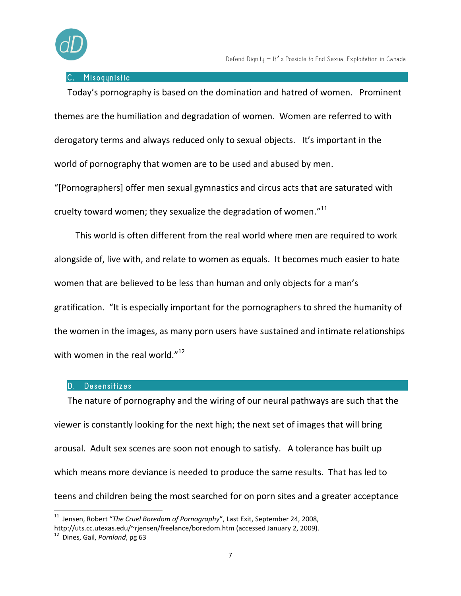

#### Misoqunistic

Today's pornography is based on the domination and hatred of women. Prominent themes are the humiliation and degradation of women. Women are referred to with derogatory terms and always reduced only to sexual objects. It's important in the world of pornography that women are to be used and abused by men.

"[Pornographers] offer men sexual gymnastics and circus acts that are saturated with cruelty toward women; they sexualize the degradation of women." $^{11}$ 

This world is often different from the real world where men are required to work alongside of, live with, and relate to women as equals. It becomes much easier to hate women that are believed to be less than human and only objects for a man's gratification. "It is especially important for the pornographers to shred the humanity of the women in the images, as many porn users have sustained and intimate relationships with women in the real world."<sup>12</sup>

#### **Desensitizes**

The nature of pornography and the wiring of our neural pathways are such that the viewer is constantly looking for the next high; the next set of images that will bring arousal. Adult sex scenes are soon not enough to satisfy. A tolerance has built up which means more deviance is needed to produce the same results. That has led to teens and children being the most searched for on porn sites and a greater acceptance

<sup>&</sup>lt;sup>11</sup> Jensen, Robert "*The Cruel Boredom of Pornography*", Last Exit, September 24, 2008, http://uts.cc.utexas.edu/~rjensen/freelance/boredom.htm (accessed January 2, 2009).

<sup>12</sup> Dines, Gail, *Pornland*, pg 63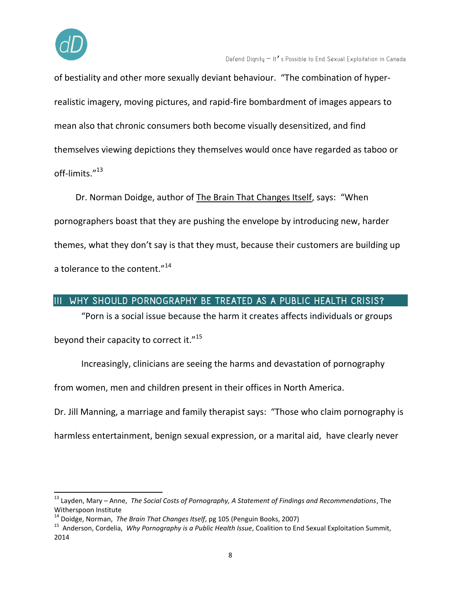

of bestiality and other more sexually deviant behaviour. "The combination of hyperrealistic imagery, moving pictures, and rapid-fire bombardment of images appears to mean also that chronic consumers both become visually desensitized, and find themselves viewing depictions they themselves would once have regarded as taboo or off-limits." 13

Dr. Norman Doidge, author of The Brain That Changes Itself, says: "When pornographers boast that they are pushing the envelope by introducing new, harder themes, what they don't say is that they must, because their customers are building up a tolerance to the content."<sup>14</sup>

## III WHY SHOULD PORNOGRAPHY BE TREATED AS A PUBLIC HEALTH CRISIS?

"Porn is a social issue because the harm it creates affects individuals or groups beyond their capacity to correct it."<sup>15</sup>

Increasingly, clinicians are seeing the harms and devastation of pornography

from women, men and children present in their offices in North America.

Dr. Jill Manning, a marriage and family therapist says: "Those who claim pornography is

harmless entertainment, benign sexual expression, or a marital aid, have clearly never

<sup>13</sup> Layden, Mary – Anne, *The Social Costs of Pornography, A Statement of Findings and Recommendations*, The Witherspoon Institute

<sup>14</sup> Doidge, Norman, *The Brain That Changes Itself*, pg 105 (Penguin Books, 2007)

<sup>15</sup> Anderson, Cordelia, *Why Pornography is a Public Health Issue*, Coalition to End Sexual Exploitation Summit, 2014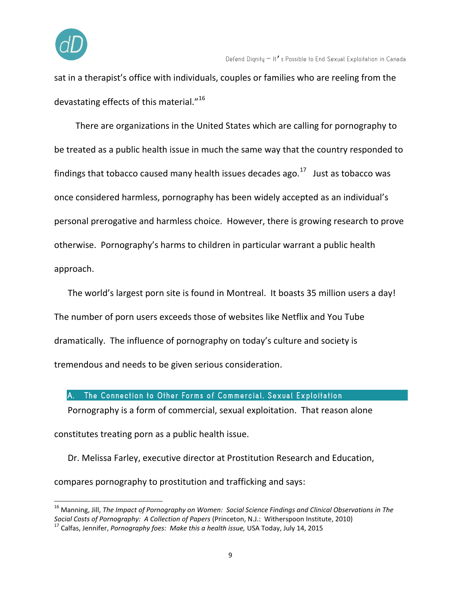

sat in a therapist's office with individuals, couples or families who are reeling from the devastating effects of this material."<sup>16</sup>

There are organizations in the United States which are calling for pornography to be treated as a public health issue in much the same way that the country responded to findings that tobacco caused many health issues decades ago. $^{17}$  Just as tobacco was once considered harmless, pornography has been widely accepted as an individual's personal prerogative and harmless choice. However, there is growing research to prove otherwise. Pornography's harms to children in particular warrant a public health approach.

The world's largest porn site is found in Montreal. It boasts 35 million users a day! The number of porn users exceeds those of websites like Netflix and You Tube dramatically. The influence of pornography on today's culture and society is tremendous and needs to be given serious consideration.

#### A. The Connection to Other Forms of Commercial, Sexual Exploitation

Pornography is a form of commercial, sexual exploitation. That reason alone constitutes treating porn as a public health issue.

Dr. Melissa Farley, executive director at Prostitution Research and Education, compares pornography to prostitution and trafficking and says:

<sup>16</sup> Manning, Jill, *The Impact of Pornography on Women: Social Science Findings and Clinical Observations in The Social Costs of Pornography: A Collection of Papers* (Princeton, N.J.: Witherspoon Institute, 2010)

<sup>17</sup> Calfas, Jennifer, *Pornography foes: Make this a health issue,* USA Today, July 14, 2015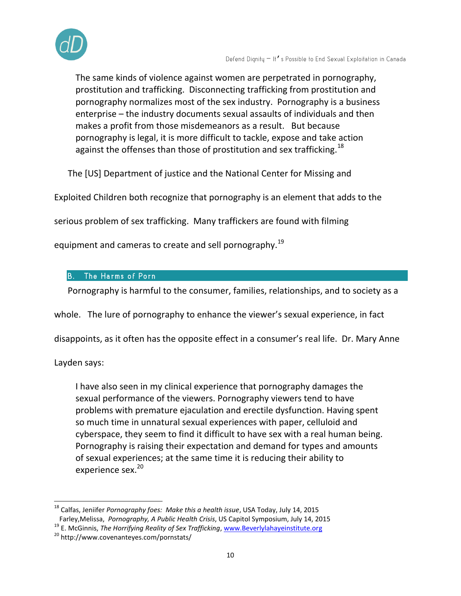

The same kinds of violence against women are perpetrated in pornography, prostitution and trafficking. Disconnecting trafficking from prostitution and pornography normalizes most of the sex industry. Pornography is a business enterprise – the industry documents sexual assaults of individuals and then makes a profit from those misdemeanors as a result. But because pornography is legal, it is more difficult to tackle, expose and take action against the offenses than those of prostitution and sex trafficking.<sup>18</sup>

The [US] Department of justice and the National Center for Missing and

Exploited Children both recognize that pornography is an element that adds to the

serious problem of sex trafficking. Many traffickers are found with filming

equipment and cameras to create and sell pornography.<sup>19</sup>

#### The Harms of Porn B.

Pornography is harmful to the consumer, families, relationships, and to society as a

whole. The lure of pornography to enhance the viewer's sexual experience, in fact

disappoints, as it often has the opposite effect in a consumer's real life. Dr. Mary Anne

Layden says:

I have also seen in my clinical experience that pornography damages the sexual performance of the viewers. Pornography viewers tend to have problems with premature ejaculation and erectile dysfunction. Having spent so much time in unnatural sexual experiences with paper, celluloid and cyberspace, they seem to find it difficult to have sex with a real human being. Pornography is raising their expectation and demand for types and amounts of sexual experiences; at the same time it is reducing their ability to experience sex.<sup>20</sup>

 $\overline{a}$ <sup>18</sup> Calfas, Jeniifer *Pornography foes: Make this a health issue*, USA Today, July 14, 2015 Farley,Melissa, *Pornography, A Public Health Crisis*, US Capitol Symposium, July 14, 2015

<sup>19</sup> E. McGinnis, *The Horrifying Reality of Sex Trafficking*[, www.Beverlylahayeinstitute.org](http://www.beverlylahayeinstitute.org/)

<sup>20</sup> http://www.covenanteyes.com/pornstats/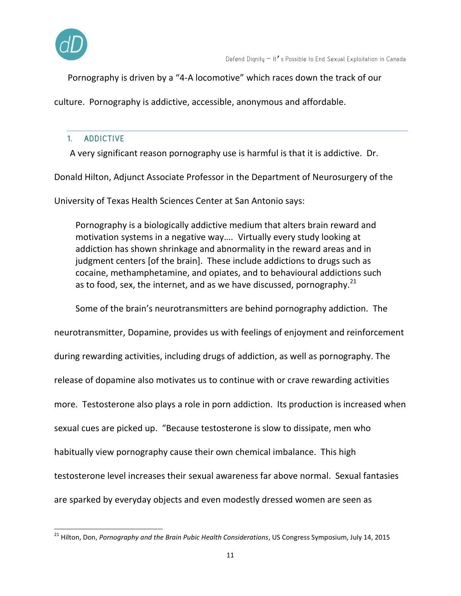

Pornography is driven by a "4-A locomotive" which races down the track of our

culture. Pornography is addictive, accessible, anonymous and affordable.

# 1. ADDICTIVE

A very significant reason pornography use is harmful is that it is addictive. Dr.

Donald Hilton, Adjunct Associate Professor in the Department of Neurosurgery of the

University of Texas Health Sciences Center at San Antonio says:

Pornography is a biologically addictive medium that alters brain reward and motivation systems in a negative way…. Virtually every study looking at addiction has shown shrinkage and abnormality in the reward areas and in judgment centers [of the brain]. These include addictions to drugs such as cocaine, methamphetamine, and opiates, and to behavioural addictions such as to food, sex, the internet, and as we have discussed, pornography.<sup>21</sup>

Some of the brain's neurotransmitters are behind pornography addiction. The

neurotransmitter, Dopamine, provides us with feelings of enjoyment and reinforcement during rewarding activities, including drugs of addiction, as well as pornography. The release of dopamine also motivates us to continue with or crave rewarding activities more. Testosterone also plays a role in porn addiction. Its production is increased when sexual cues are picked up. "Because testosterone is slow to dissipate, men who habitually view pornography cause their own chemical imbalance. This high testosterone level increases their sexual awareness far above normal. Sexual fantasies are sparked by everyday objects and even modestly dressed women are seen as

 $\overline{a}$ <sup>21</sup> Hilton, Don, *Pornography and the Brain Pubic Health Considerations,* US Congress Symposium, July 14, 2015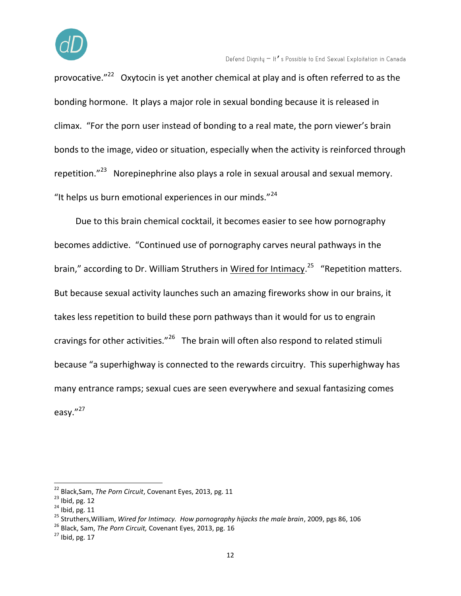

Defend Dignity - It's Possible to End Sexual Exploitation in Canada

provocative."<sup>22</sup> Oxytocin is yet another chemical at play and is often referred to as the bonding hormone. It plays a major role in sexual bonding because it is released in climax. "For the porn user instead of bonding to a real mate, the porn viewer's brain bonds to the image, video or situation, especially when the activity is reinforced through repetition."<sup>23</sup> Norepinephrine also plays a role in sexual arousal and sexual memory. "It helps us burn emotional experiences in our minds."<sup>24</sup>

Due to this brain chemical cocktail, it becomes easier to see how pornography becomes addictive. "Continued use of pornography carves neural pathways in the brain," according to Dr. William Struthers in <u>Wired for Intimacy.<sup>25</sup> "Repetition matters.</u> But because sexual activity launches such an amazing fireworks show in our brains, it takes less repetition to build these porn pathways than it would for us to engrain cravings for other activities."<sup>26</sup> The brain will often also respond to related stimuli because "a superhighway is connected to the rewards circuitry. This superhighway has many entrance ramps; sexual cues are seen everywhere and sexual fantasizing comes easv. $"^{27}$ 

<sup>22</sup> Black,Sam, *The Porn Circuit*, Covenant Eyes, 2013, pg. 11

 $23$  Ibid, pg. 12

 $24$  Ibid, pg. 11

<sup>25</sup> Struthers,William, *Wired for Intimacy. How pornography hijacks the male brain*, 2009, pgs 86, 106

<sup>26</sup> Black, Sam, *The Porn Circuit,* Covenant Eyes, 2013, pg. 16

 $27$  Ibid, pg. 17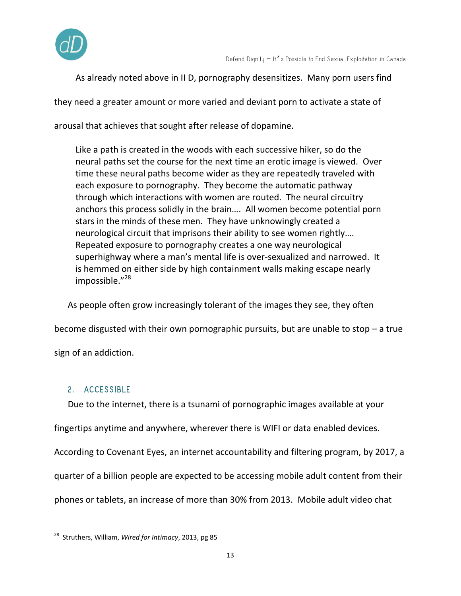

As already noted above in II D, pornography desensitizes. Many porn users find

they need a greater amount or more varied and deviant porn to activate a state of

arousal that achieves that sought after release of dopamine.

Like a path is created in the woods with each successive hiker, so do the neural paths set the course for the next time an erotic image is viewed. Over time these neural paths become wider as they are repeatedly traveled with each exposure to pornography. They become the automatic pathway through which interactions with women are routed. The neural circuitry anchors this process solidly in the brain…. All women become potential porn stars in the minds of these men. They have unknowingly created a neurological circuit that imprisons their ability to see women rightly…. Repeated exposure to pornography creates a one way neurological superhighway where a man's mental life is over-sexualized and narrowed. It is hemmed on either side by high containment walls making escape nearly impossible."<sup>28</sup>

As people often grow increasingly tolerant of the images they see, they often

become disgusted with their own pornographic pursuits, but are unable to stop – a true

sign of an addiction.

#### 2. ACCESSIBLE

Due to the internet, there is a tsunami of pornographic images available at your

fingertips anytime and anywhere, wherever there is WIFI or data enabled devices.

According to Covenant Eyes, an internet accountability and filtering program, by 2017, a

quarter of a billion people are expected to be accessing mobile adult content from their

phones or tablets, an increase of more than 30% from 2013. Mobile adult video chat

 $\overline{a}$ <sup>28</sup> Struthers, William, *Wired for Intimacy*, 2013, pg 85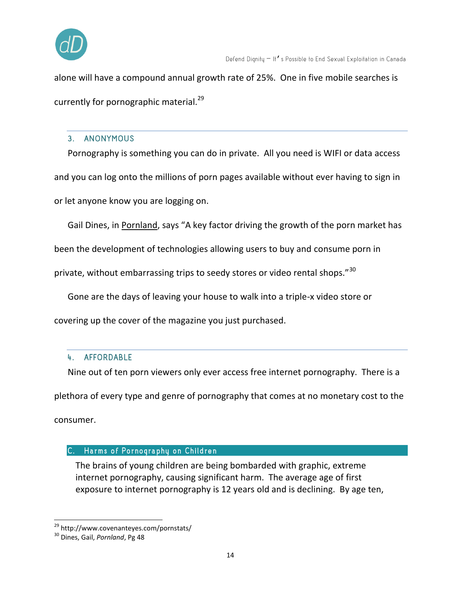

alone will have a compound annual growth rate of 25%. One in five mobile searches is currently for pornographic material.<sup>29</sup>

#### 3. ANONYMOUS

Pornography is something you can do in private. All you need is WIFI or data access and you can log onto the millions of porn pages available without ever having to sign in or let anyone know you are logging on.

Gail Dines, in Pornland, says "A key factor driving the growth of the porn market has

been the development of technologies allowing users to buy and consume porn in

private, without embarrassing trips to seedy stores or video rental shops."<sup>30</sup>

Gone are the days of leaving your house to walk into a triple-x video store or

covering up the cover of the magazine you just purchased.

## 4. AFFORDABLE

Nine out of ten porn viewers only ever access free internet pornography. There is a plethora of every type and genre of pornography that comes at no monetary cost to the consumer.

#### C. Harms of Pornography on Children

The brains of young children are being bombarded with graphic, extreme internet pornography, causing significant harm. The average age of first exposure to internet pornography is 12 years old and is declining. By age ten,

<sup>&</sup>lt;sup>29</sup> http://www.covenanteyes.com/pornstats/

<sup>30</sup> Dines, Gail, *Pornland*, Pg 48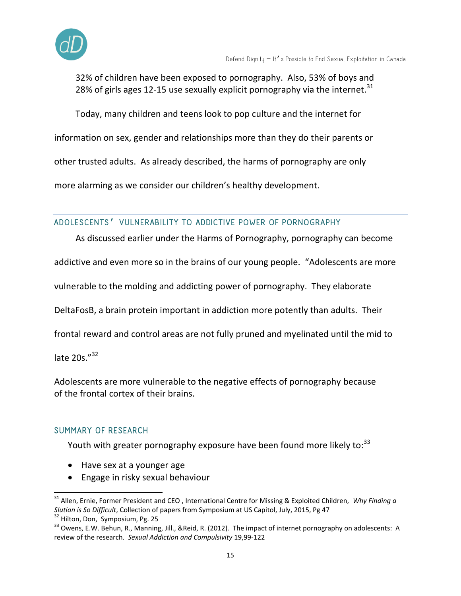

32% of children have been exposed to pornography. Also, 53% of boys and 28% of girls ages 12-15 use sexually explicit pornography via the internet. $31$ 

Today, many children and teens look to pop culture and the internet for

information on sex, gender and relationships more than they do their parents or

other trusted adults. As already described, the harms of pornography are only

more alarming as we consider our children's healthy development.

## ADOLESCENTS' VULNERABILITY TO ADDICTIVE POWER OF PORNOGRAPHY

As discussed earlier under the Harms of Pornography, pornography can become addictive and even more so in the brains of our young people. "Adolescents are more vulnerable to the molding and addicting power of pornography. They elaborate DeltaFosB, a brain protein important in addiction more potently than adults. Their frontal reward and control areas are not fully pruned and myelinated until the mid to late 20s."<sup>32</sup>

Adolescents are more vulnerable to the negative effects of pornography because of the frontal cortex of their brains.

## SUMMARY OF RESEARCH

 $\overline{a}$ 

Youth with greater pornography exposure have been found more likely to:<sup>33</sup>

- Have sex at a younger age
- Engage in risky sexual behaviour

<sup>31</sup> Allen, Ernie, Former President and CEO , International Centre for Missing & Exploited Children, *Why Finding a Slution is So Difficult*, Collection of papers from Symposium at US Capitol, July, 2015, Pg 47 <sup>32</sup> Hilton, Don, Symposium, Pg. 25

<sup>&</sup>lt;sup>33</sup> Owens, E.W. Behun, R., Manning, Jill., &Reid, R. (2012). The impact of internet pornography on adolescents: A review of the research. *Sexual Addiction and Compulsivity* 19,99-122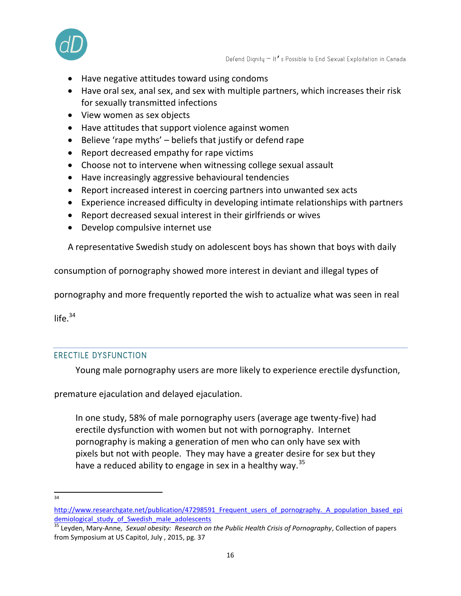

- Have negative attitudes toward using condoms
- Have oral sex, anal sex, and sex with multiple partners, which increases their risk for sexually transmitted infections
- View women as sex objects
- Have attitudes that support violence against women
- $\bullet$  Believe 'rape myths' beliefs that justify or defend rape
- Report decreased empathy for rape victims
- Choose not to intervene when witnessing college sexual assault
- Have increasingly aggressive behavioural tendencies
- Report increased interest in coercing partners into unwanted sex acts
- Experience increased difficulty in developing intimate relationships with partners
- Report decreased sexual interest in their girlfriends or wives
- Develop compulsive internet use

A representative Swedish study on adolescent boys has shown that boys with daily

consumption of pornography showed more interest in deviant and illegal types of

pornography and more frequently reported the wish to actualize what was seen in real

life. $34$ 

## **ERECTILE DYSFUNCTION**

Young male pornography users are more likely to experience erectile dysfunction,

premature ejaculation and delayed ejaculation.

In one study, 58% of male pornography users (average age twenty-five) had erectile dysfunction with women but not with pornography. Internet pornography is making a generation of men who can only have sex with pixels but not with people. They may have a greater desire for sex but they have a reduced ability to engage in sex in a healthy way.<sup>35</sup>

<sup>—&</sup>lt;br>34

http://www.researchgate.net/publication/47298591 Frequent users of pornography. A population based epi [demiological\\_study\\_of\\_Swedish\\_male\\_adolescents](http://www.researchgate.net/publication/47298591_Frequent_users_of_pornography._A_population_based_epidemiological_study_of_Swedish_male_adolescents)

<sup>35</sup> Leyden, Mary-Anne, *Sexual obesity: Research on the Public Health Crisis of Pornography*, Collection of papers from Symposium at US Capitol, July , 2015, pg. 37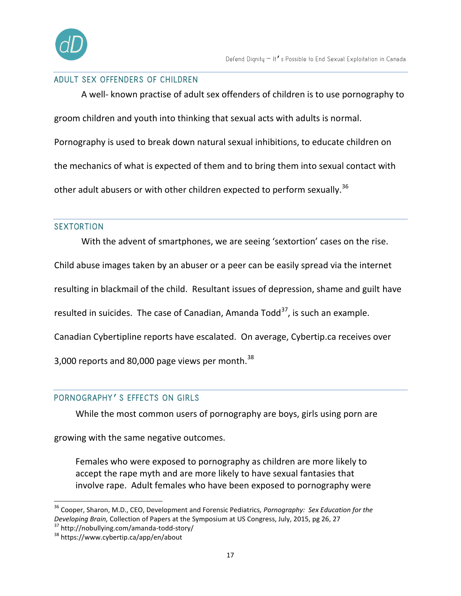

#### ADULT SEX OFFENDERS OF CHILDREN

A well- known practise of adult sex offenders of children is to use pornography to groom children and youth into thinking that sexual acts with adults is normal. Pornography is used to break down natural sexual inhibitions, to educate children on the mechanics of what is expected of them and to bring them into sexual contact with other adult abusers or with other children expected to perform sexually.<sup>36</sup>

#### **SEXTORTION**

With the advent of smartphones, we are seeing 'sextortion' cases on the rise.

Child abuse images taken by an abuser or a peer can be easily spread via the internet

resulting in blackmail of the child. Resultant issues of depression, shame and guilt have

resulted in suicides. The case of Canadian, Amanda Todd<sup>37</sup>, is such an example.

Canadian Cybertipline reports have escalated. On average, Cybertip.ca receives over

3,000 reports and 80,000 page views per month. $38$ 

#### PORNOGRAPHY' S EFFECTS ON GIRLS

While the most common users of pornography are boys, girls using porn are

growing with the same negative outcomes.

Females who were exposed to pornography as children are more likely to accept the rape myth and are more likely to have sexual fantasies that involve rape. Adult females who have been exposed to pornography were

<sup>36</sup> Cooper, Sharon, M.D., CEO, Development and Forensic Pediatrics*, Pornography: Sex Education for the Developing Brain,* Collection of Papers at the Symposium at US Congress, July, 2015, pg 26, 27

<sup>37</sup> http://nobullying.com/amanda-todd-story/

<sup>38</sup> https://www.cybertip.ca/app/en/about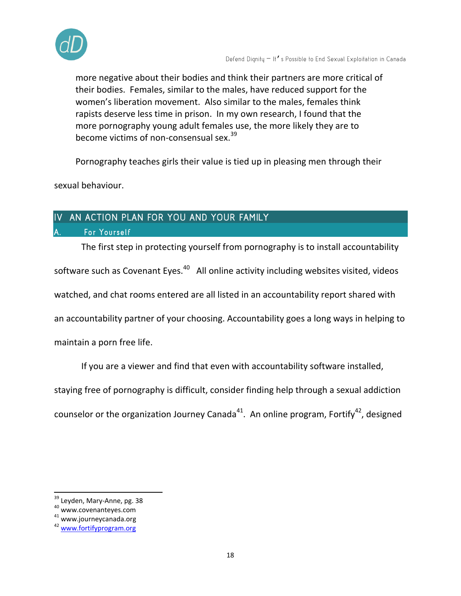

more negative about their bodies and think their partners are more critical of their bodies. Females, similar to the males, have reduced support for the women's liberation movement. Also similar to the males, females think rapists deserve less time in prison. In my own research, I found that the more pornography young adult females use, the more likely they are to become victims of non-consensual sex.<sup>39</sup>

Pornography teaches girls their value is tied up in pleasing men through their

sexual behaviour.

# IV AN ACTION PLAN FOR YOU AND YOUR FAMILY

#### For Yourself

The first step in protecting yourself from pornography is to install accountability software such as Covenant Eyes.<sup>40</sup> All online activity including websites visited, videos watched, and chat rooms entered are all listed in an accountability report shared with an accountability partner of your choosing. Accountability goes a long ways in helping to maintain a porn free life.

If you are a viewer and find that even with accountability software installed,

staying free of pornography is difficult, consider finding help through a sexual addiction

counselor or the organization Journey Canada<sup>41</sup>. An online program, Fortify<sup>42</sup>, designed

<sup>&</sup>lt;sup>39</sup> Leyden, Mary-Anne, pg. 38

<sup>40</sup> www.covenanteyes.com

<sup>41</sup> www.journeycanada.org

<sup>42</sup> [www.fortifyprogram.org](http://www.fortifyprogram.org/)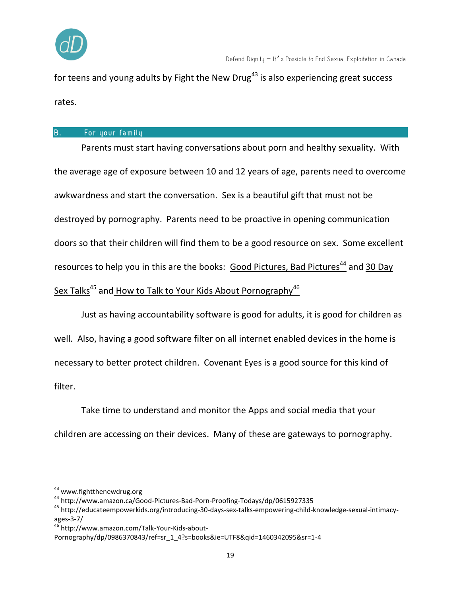

for teens and young adults by Fight the New Drug<sup>43</sup> is also experiencing great success rates.

#### For your family B.

Parents must start having conversations about porn and healthy sexuality. With the average age of exposure between 10 and 12 years of age, parents need to overcome awkwardness and start the conversation. Sex is a beautiful gift that must not be destroyed by pornography. Parents need to be proactive in opening communication doors so that their children will find them to be a good resource on sex. Some excellent resources to help you in this are the books: [Good Pictures, Bad Pictures](http://www.amazon.ca/Good-Pictures-Bad-Porn-Proofing-Todays/dp/0615927335)<sup>44</sup> and 30 Day Sex Talks<sup>45</sup> and How to Talk to Your Kids About Pornography<sup>46</sup>

Just as having accountability software is good for adults, it is good for children as well. Also, having a good software filter on all internet enabled devices in the home is necessary to better protect children. Covenant Eyes is a good source for this kind of filter.

Take time to understand and monitor the Apps and social media that your children are accessing on their devices. Many of these are gateways to pornography.

<sup>&</sup>lt;sup>43</sup> www.fightthenewdrug.org

<sup>44</sup> http://www.amazon.ca/Good-Pictures-Bad-Porn-Proofing-Todays/dp/0615927335

<sup>45</sup> http://educateempowerkids.org/introducing-30-days-sex-talks-empowering-child-knowledge-sexual-intimacyages-3-7/

<sup>46</sup> http://www.amazon.com/Talk-Your-Kids-about-

Pornography/dp/0986370843/ref=sr\_1\_4?s=books&ie=UTF8&qid=1460342095&sr=1-4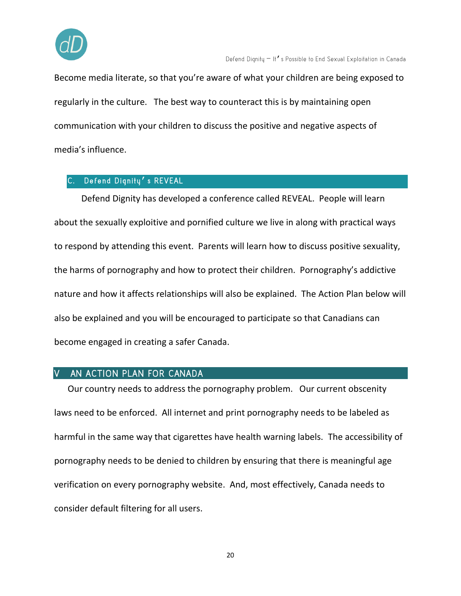

Become media literate, so that you're aware of what your children are being exposed to regularly in the culture. The best way to counteract this is by maintaining open communication with your children to discuss the positive and negative aspects of media's influence.

#### Defend Dignity's REVEAL

Defend Dignity has developed a conference called REVEAL. People will learn about the sexually exploitive and pornified culture we live in along with practical ways to respond by attending this event. Parents will learn how to discuss positive sexuality, the harms of pornography and how to protect their children. Pornography's addictive nature and how it affects relationships will also be explained. The Action Plan below will also be explained and you will be encouraged to participate so that Canadians can become engaged in creating a safer Canada.

#### AN ACTION PLAN FOR CANADA  $\overline{V}$

Our country needs to address the pornography problem. Our current obscenity laws need to be enforced. All internet and print pornography needs to be labeled as harmful in the same way that cigarettes have health warning labels. The accessibility of pornography needs to be denied to children by ensuring that there is meaningful age verification on every pornography website. And, most effectively, Canada needs to consider default filtering for all users.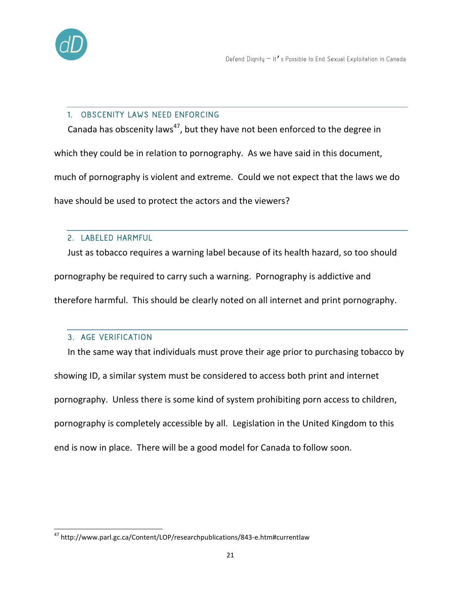

#### 1. OBSCENITY LAWS NEED ENFORCING

Canada has obscenity laws<sup>47</sup>, but they have not been enforced to the degree in which they could be in relation to pornography. As we have said in this document, much of pornography is violent and extreme. Could we not expect that the laws we do have should be used to protect the actors and the viewers?

#### 2. LABELED HARMFUL

Just as tobacco requires a warning label because of its health hazard, so too should pornography be required to carry such a warning. Pornography is addictive and therefore harmful. This should be clearly noted on all internet and print pornography.

#### 3. AGE VERIFICATION

In the same way that individuals must prove their age prior to purchasing tobacco by showing ID, a similar system must be considered to access both print and internet pornography. Unless there is some kind of system prohibiting porn access to children, pornography is completely accessible by all. Legislation in the United Kingdom to this end is now in place. There will be a good model for Canada to follow soon.

 $\overline{a}$ <sup>47</sup> http://www.parl.gc.ca/Content/LOP/researchpublications/843-e.htm#currentlaw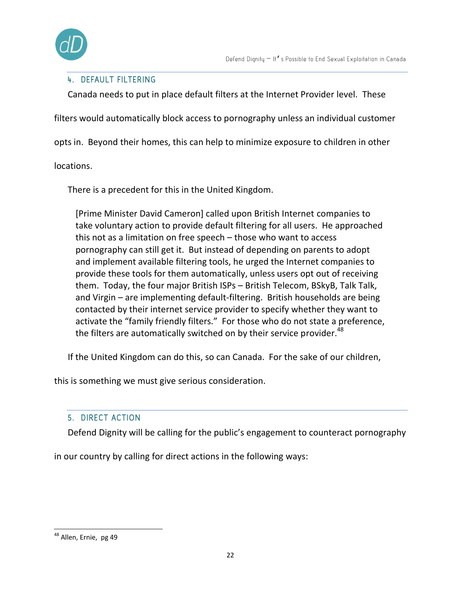

#### 4. DEFAULT FILTERING

Canada needs to put in place default filters at the Internet Provider level. These

filters would automatically block access to pornography unless an individual customer

opts in. Beyond their homes, this can help to minimize exposure to children in other

locations.

There is a precedent for this in the United Kingdom.

[Prime Minister David Cameron] called upon British Internet companies to take voluntary action to provide default filtering for all users. He approached this not as a limitation on free speech – those who want to access pornography can still get it. But instead of depending on parents to adopt and implement available filtering tools, he urged the Internet companies to provide these tools for them automatically, unless users opt out of receiving them. Today, the four major British ISPs – British Telecom, BSkyB, Talk Talk, and Virgin – are implementing default-filtering. British households are being contacted by their internet service provider to specify whether they want to activate the "family friendly filters." For those who do not state a preference, the filters are automatically switched on by their service provider.<sup>48</sup>

If the United Kingdom can do this, so can Canada. For the sake of our children,

this is something we must give serious consideration.

#### 5. DIRECT ACTION

Defend Dignity will be calling for the public's engagement to counteract pornography

in our country by calling for direct actions in the following ways:

<sup>&</sup>lt;sup>48</sup> Allen, Ernie, pg 49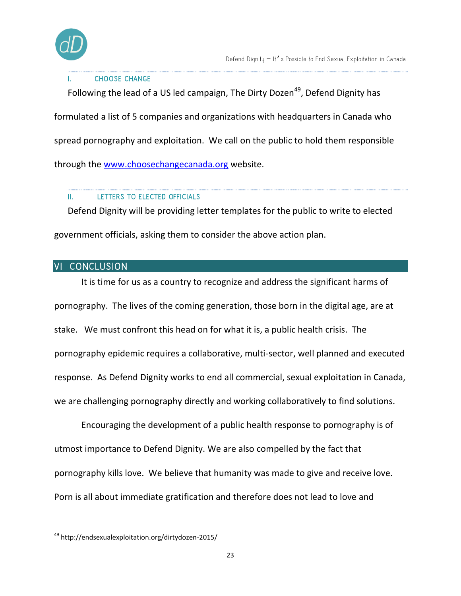

#### **CHOOSE CHANGE**

Following the lead of a US led campaign, The Dirty Dozen<sup>49</sup>, Defend Dignity has formulated a list of 5 companies and organizations with headquarters in Canada who spread pornography and exploitation. We call on the public to hold them responsible through the [www.choosechangecanada.org](http://www.choosechangecanada.org/) website.

#### Ш. LETTERS TO ELECTED OFFICIALS

Defend Dignity will be providing letter templates for the public to write to elected government officials, asking them to consider the above action plan.

#### VI CONCLUSION

It is time for us as a country to recognize and address the significant harms of pornography. The lives of the coming generation, those born in the digital age, are at stake. We must confront this head on for what it is, a public health crisis. The pornography epidemic requires a collaborative, multi-sector, well planned and executed response. As Defend Dignity works to end all commercial, sexual exploitation in Canada, we are challenging pornography directly and working collaboratively to find solutions.

Encouraging the development of a public health response to pornography is of utmost importance to Defend Dignity. We are also compelled by the fact that pornography kills love. We believe that humanity was made to give and receive love. Porn is all about immediate gratification and therefore does not lead to love and

 $\overline{a}$ <sup>49</sup> http://endsexualexploitation.org/dirtydozen-2015/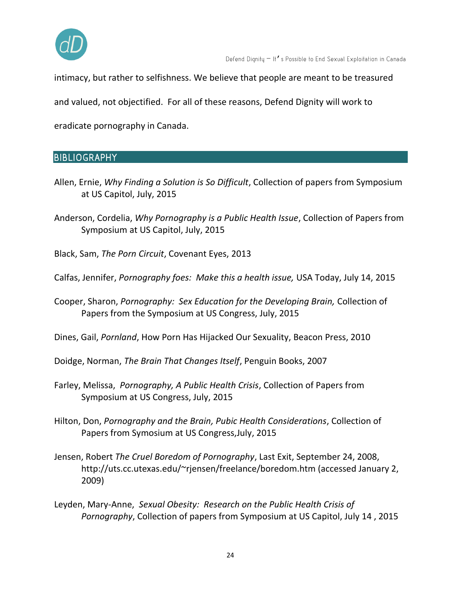

intimacy, but rather to selfishness. We believe that people are meant to be treasured

and valued, not objectified. For all of these reasons, Defend Dignity will work to

eradicate pornography in Canada.

## **BIBLIOGRAPHY**

- Allen, Ernie, *Why Finding a Solution is So Difficult*, Collection of papers from Symposium at US Capitol, July, 2015
- Anderson, Cordelia, *Why Pornography is a Public Health Issue*, Collection of Papers from Symposium at US Capitol, July, 2015
- Black, Sam, *The Porn Circuit*, Covenant Eyes, 2013
- Calfas, Jennifer, *Pornography foes: Make this a health issue,* USA Today, July 14, 2015
- Cooper, Sharon, *Pornography: Sex Education for the Developing Brain,* Collection of Papers from the Symposium at US Congress, July, 2015
- Dines, Gail, *Pornland*, How Porn Has Hijacked Our Sexuality, Beacon Press, 2010
- Doidge, Norman, *The Brain That Changes Itself*, Penguin Books, 2007
- Farley, Melissa, *Pornography, A Public Health Crisis*, Collection of Papers from Symposium at US Congress, July, 2015
- Hilton, Don, *Pornography and the Brain, Pubic Health Considerations*, Collection of Papers from Symosium at US Congress,July, 2015
- Jensen, Robert *The Cruel Boredom of Pornography*, Last Exit, September 24, 2008, http://uts.cc.utexas.edu/~rjensen/freelance/boredom.htm (accessed January 2, 2009)
- Leyden, Mary-Anne, *Sexual Obesity: Research on the Public Health Crisis of Pornography*, Collection of papers from Symposium at US Capitol, July 14 , 2015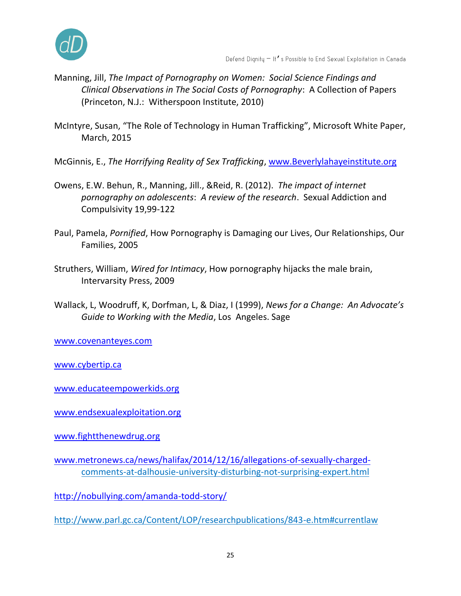

- Manning, Jill, *The Impact of Pornography on Women: Social Science Findings and Clinical Observations in The Social Costs of Pornography*: A Collection of Papers (Princeton, N.J.: Witherspoon Institute, 2010)
- McIntyre, Susan, "The Role of Technology in Human Trafficking", Microsoft White Paper, March, 2015
- McGinnis, E., *The Horrifying Reality of Sex Trafficking*, [www.Beverlylahayeinstitute.org](http://www.beverlylahayeinstitute.org/)
- Owens, E.W. Behun, R., Manning, Jill., &Reid, R. (2012). *The impact of internet pornography on adolescents*: *A review of the research*. Sexual Addiction and Compulsivity 19,99-122
- Paul, Pamela, *Pornified*, How Pornography is Damaging our Lives, Our Relationships, Our Families, 2005
- Struthers, William, *Wired for Intimacy*, How pornography hijacks the male brain, Intervarsity Press, 2009
- Wallack, L, Woodruff, K, Dorfman, L, & Diaz, I (1999), *News for a Change: An Advocate's Guide to Working with the Media*, Los Angeles. Sage

[www.covenanteyes.com](http://www.covenanteyes.com/)

[www.cybertip.ca](http://www.cybertip.ca/)

[www.educateempowerkids.org](http://www.educateempowerkids.org/)

[www.endsexualexploitation.org](http://www.endsexualexploitation.org/)

[www.fightthenewdrug.org](http://www.fightthenewdrug.org/)

[www.metronews.ca/news/halifax/2014/12/16/allegations-of-sexually-charged](http://www.metronews.ca/news/halifax/2014/12/16/allegations-of-sexually-charged-)comments-at-dalhousie-university-disturbing-not-surprising-expert.html

<http://nobullying.com/amanda-todd-story/>

http://www.parl.gc.ca/Content/LOP/researchpublications/843-e.htm#currentlaw